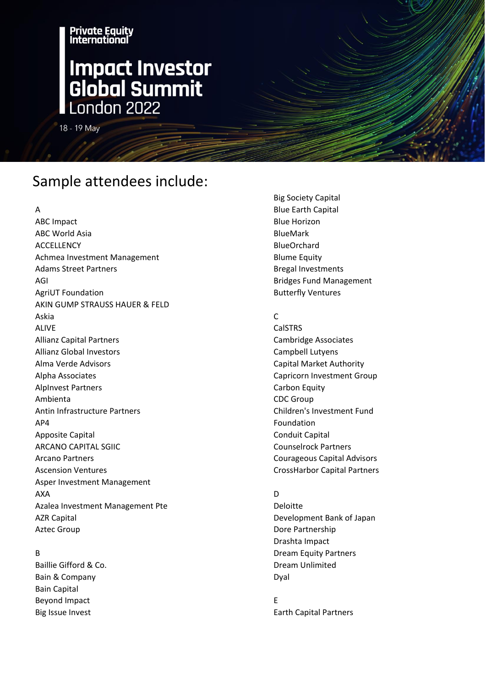## **International Impact Investor<br>Global Summit** London 2022

18 - 19 May

Private Equity

### Sample attendees include:

A

ABC Impact ABC World Asia ACCELLENCY Achmea Investment Management Adams Street Partners AGI AgriUT Foundation AKIN GUMP STRAUSS HAUER & FELD Askia ALIVE Allianz Capital Partners Allianz Global Investors Alma Verde Advisors Alpha Associates AlpInvest Partners Ambienta Antin Infrastructure Partners AP4 Apposite Capital ARCANO CAPITAL SGIIC Arcano Partners Ascension Ventures Asper Investment Management AXA Azalea Investment Management Pte AZR Capital Aztec Group

### B

Baillie Gifford & Co. Bain & Company Bain Capital Beyond Impact Big Issue Invest

Big Society Capital Blue Earth Capital Blue Horizon BlueMark **BlueOrchard** Blume Equity Bregal Investments Bridges Fund Management Butterfly Ventures

### C

CalSTRS Cambridge Associates Campbell Lutyens Capital Market Authority Capricorn Investment Group Carbon Equity CDC Group Children's Investment Fund Foundation Conduit Capital Counselrock Partners Courageous Capital Advisors CrossHarbor Capital Partners

### D

Deloitte Development Bank of Japan Dore Partnership Drashta Impact Dream Equity Partners Dream Unlimited Dyal

E Earth Capital Partners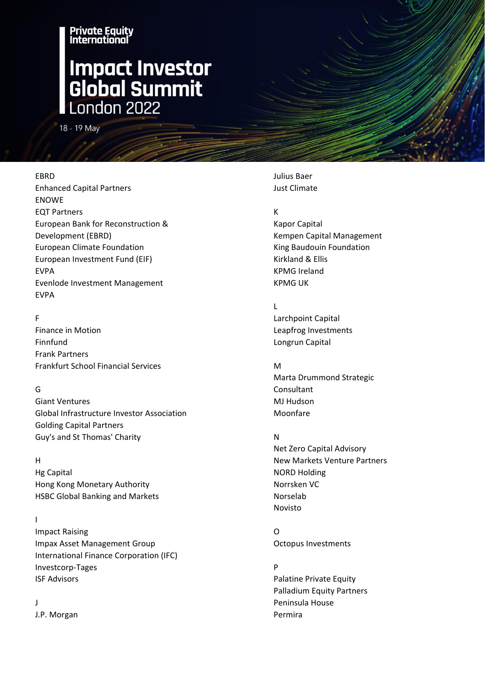## **International Impact Investor<br>Global Summit**<br>London 2022

18 - 19 May

### EBRD

Enhanced Capital Partners ENOWE EQT Partners European Bank for Reconstruction & Development (EBRD) European Climate Foundation European Investment Fund (EIF) EVPA Evenlode Investment Management EVPA

Private Equity

F Finance in Motion Finnfund Frank Partners Frankfurt School Financial Services

### G

Giant Ventures Global Infrastructure Investor Association Golding Capital Partners Guy's and St Thomas' Charity

### H

Hg Capital Hong Kong Monetary Authority HSBC Global Banking and Markets

### I

Impact Raising Impax Asset Management Group International Finance Corporation (IFC) Investcorp-Tages ISF Advisors

### J

J.P. Morgan

Julius Baer Just Climate

### K

Kapor Capital Kempen Capital Management King Baudouin Foundation Kirkland & Ellis KPMG Ireland KPMG UK

### L

Larchpoint Capital Leapfrog Investments Longrun Capital

### M

Marta Drummond Strategic Consultant MJ Hudson Moonfare

### N

Net Zero Capital Advisory New Markets Venture Partners NORD Holding Norrsken VC Norselab Novisto

O Octopus Investments

P Palatine Private Equity Palladium Equity Partners Peninsula House Permira